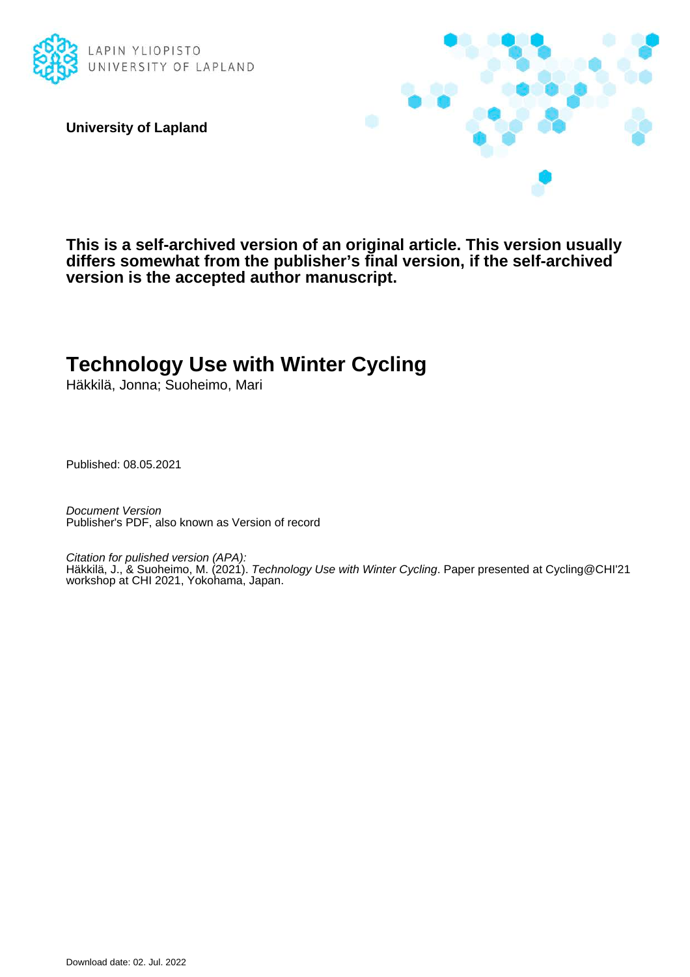

**University of Lapland**



**This is a self-archived version of an original article. This version usually differs somewhat from the publisher's final version, if the self-archived version is the accepted author manuscript.**

# **Technology Use with Winter Cycling**

Häkkilä, Jonna; Suoheimo, Mari

Published: 08.05.2021

Document Version Publisher's PDF, also known as Version of record

Citation for pulished version (APA): Häkkilä, J., & Suoheimo, M. (2021). Technology Use with Winter Cycling. Paper presented at Cycling@CHI'21 workshop at CHI 2021, Yokohama, Japan.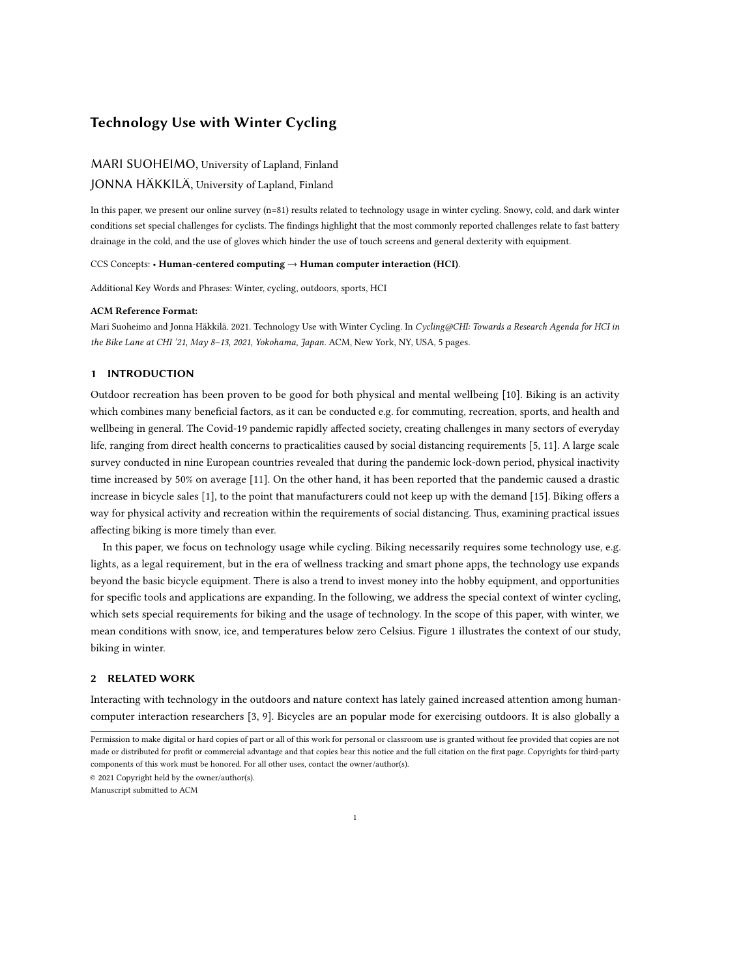# Technology Use with Winter Cycling

# MARI SUOHEIMO, University of Lapland, Finland

# JONNA HÄKKILÄ, University of Lapland, Finland

In this paper, we present our online survey (n=81) results related to technology usage in winter cycling. Snowy, cold, and dark winter conditions set special challenges for cyclists. The findings highlight that the most commonly reported challenges relate to fast battery drainage in the cold, and the use of gloves which hinder the use of touch screens and general dexterity with equipment.

#### CCS Concepts: • Human-centered computing → Human computer interaction (HCI).

Additional Key Words and Phrases: Winter, cycling, outdoors, sports, HCI

#### ACM Reference Format:

Mari Suoheimo and Jonna Häkkilä. 2021. Technology Use with Winter Cycling. In Cycling@CHI: Towards a Research Agenda for HCI in the Bike Lane at CHI '21, May 8-13, 2021, Yokohama, Japan. ACM, New York, NY, USA, [5](#page-5-0) pages.

## 1 INTRODUCTION

Outdoor recreation has been proven to be good for both physical and mental wellbeing [\[10\]](#page-5-1). Biking is an activity which combines many beneficial factors, as it can be conducted e.g. for commuting, recreation, sports, and health and wellbeing in general. The Covid-19 pandemic rapidly affected society, creating challenges in many sectors of everyday life, ranging from direct health concerns to practicalities caused by social distancing requirements [\[5,](#page-5-2) [11\]](#page-5-3). A large scale survey conducted in nine European countries revealed that during the pandemic lock-down period, physical inactivity time increased by 50% on average [\[11\]](#page-5-3). On the other hand, it has been reported that the pandemic caused a drastic increase in bicycle sales [\[1\]](#page-5-4), to the point that manufacturers could not keep up with the demand [\[15\]](#page-5-5). Biking offers a way for physical activity and recreation within the requirements of social distancing. Thus, examining practical issues affecting biking is more timely than ever.

In this paper, we focus on technology usage while cycling. Biking necessarily requires some technology use, e.g. lights, as a legal requirement, but in the era of wellness tracking and smart phone apps, the technology use expands beyond the basic bicycle equipment. There is also a trend to invest money into the hobby equipment, and opportunities for specific tools and applications are expanding. In the following, we address the special context of winter cycling, which sets special requirements for biking and the usage of technology. In the scope of this paper, with winter, we mean conditions with snow, ice, and temperatures below zero Celsius. Figure [1](#page-2-0) illustrates the context of our study, biking in winter.

## 2 RELATED WORK

Interacting with technology in the outdoors and nature context has lately gained increased attention among humancomputer interaction researchers [\[3,](#page-5-6) [9\]](#page-5-7). Bicycles are an popular mode for exercising outdoors. It is also globally a

© 2021 Copyright held by the owner/author(s).

Manuscript submitted to ACM

Permission to make digital or hard copies of part or all of this work for personal or classroom use is granted without fee provided that copies are not made or distributed for profit or commercial advantage and that copies bear this notice and the full citation on the first page. Copyrights for third-party components of this work must be honored. For all other uses, contact the owner/author(s).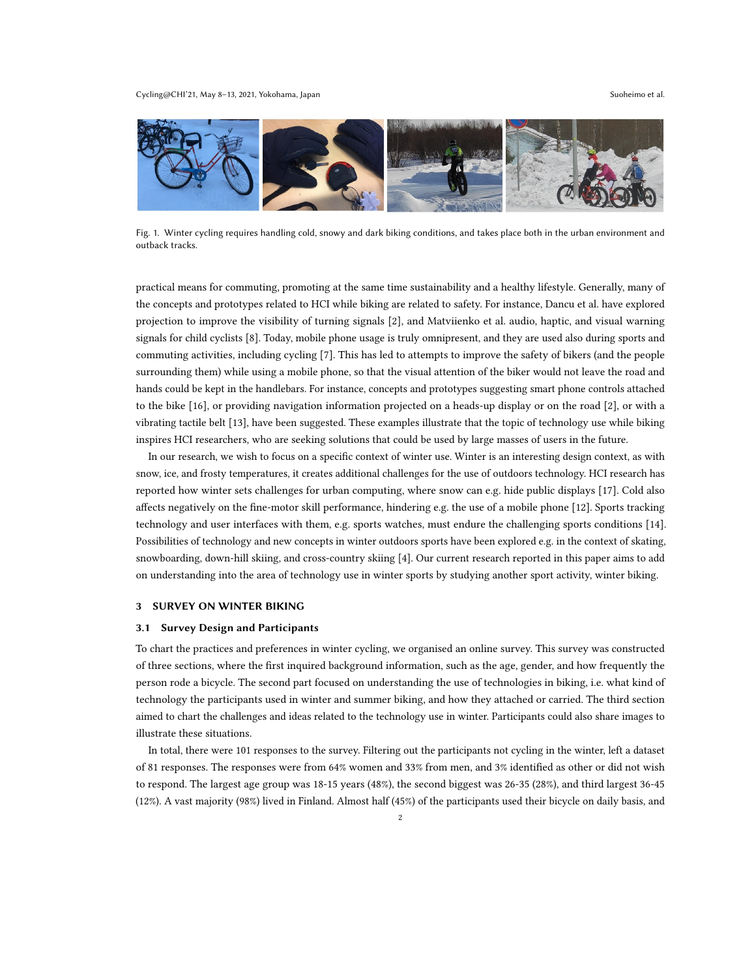<span id="page-2-0"></span>

Fig. 1. Winter cycling requires handling cold, snowy and dark biking conditions, and takes place both in the urban environment and outback tracks.

practical means for commuting, promoting at the same time sustainability and a healthy lifestyle. Generally, many of the concepts and prototypes related to HCI while biking are related to safety. For instance, Dancu et al. have explored projection to improve the visibility of turning signals [\[2\]](#page-5-8), and Matviienko et al. audio, haptic, and visual warning signals for child cyclists [\[8\]](#page-5-9). Today, mobile phone usage is truly omnipresent, and they are used also during sports and commuting activities, including cycling [\[7\]](#page-5-10). This has led to attempts to improve the safety of bikers (and the people surrounding them) while using a mobile phone, so that the visual attention of the biker would not leave the road and hands could be kept in the handlebars. For instance, concepts and prototypes suggesting smart phone controls attached to the bike [\[16\]](#page-5-11), or providing navigation information projected on a heads-up display or on the road [\[2\]](#page-5-8), or with a vibrating tactile belt [\[13\]](#page-5-12), have been suggested. These examples illustrate that the topic of technology use while biking inspires HCI researchers, who are seeking solutions that could be used by large masses of users in the future.

In our research, we wish to focus on a specific context of winter use. Winter is an interesting design context, as with snow, ice, and frosty temperatures, it creates additional challenges for the use of outdoors technology. HCI research has reported how winter sets challenges for urban computing, where snow can e.g. hide public displays [\[17\]](#page-5-13). Cold also affects negatively on the fine-motor skill performance, hindering e.g. the use of a mobile phone [\[12\]](#page-5-14). Sports tracking technology and user interfaces with them, e.g. sports watches, must endure the challenging sports conditions [\[14\]](#page-5-15). Possibilities of technology and new concepts in winter outdoors sports have been explored e.g. in the context of skating, snowboarding, down-hill skiing, and cross-country skiing [\[4\]](#page-5-16). Our current research reported in this paper aims to add on understanding into the area of technology use in winter sports by studying another sport activity, winter biking.

#### 3 SURVEY ON WINTER BIKING

#### 3.1 Survey Design and Participants

To chart the practices and preferences in winter cycling, we organised an online survey. This survey was constructed of three sections, where the first inquired background information, such as the age, gender, and how frequently the person rode a bicycle. The second part focused on understanding the use of technologies in biking, i.e. what kind of technology the participants used in winter and summer biking, and how they attached or carried. The third section aimed to chart the challenges and ideas related to the technology use in winter. Participants could also share images to illustrate these situations.

In total, there were 101 responses to the survey. Filtering out the participants not cycling in the winter, left a dataset of 81 responses. The responses were from 64% women and 33% from men, and 3% identified as other or did not wish to respond. The largest age group was 18-15 years (48%), the second biggest was 26-35 (28%), and third largest 36-45 (12%). A vast majority (98%) lived in Finland. Almost half (45%) of the participants used their bicycle on daily basis, and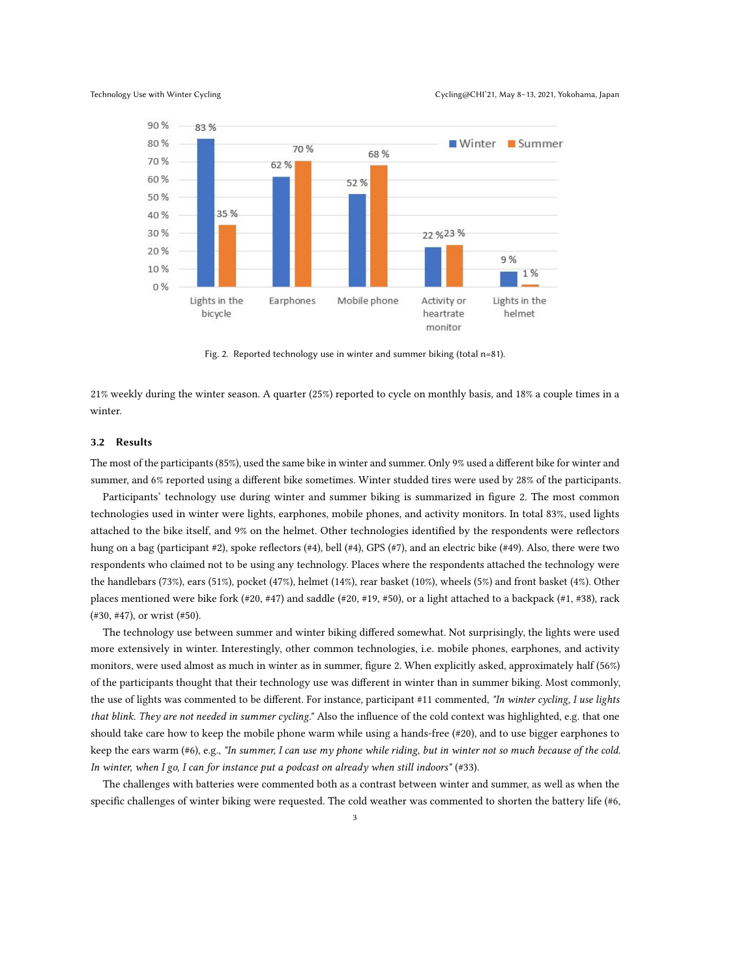<span id="page-3-0"></span>

Fig. 2. Reported technology use in winter and summer biking (total n=81).

21% weekly during the winter season. A quarter (25%) reported to cycle on monthly basis, and 18% a couple times in a winter.

## 3.2 Results

The most of the participants (85%), used the same bike in winter and summer. Only 9% used a different bike for winter and summer, and 6% reported using a different bike sometimes. Winter studded tires were used by 28% of the participants.

Participants' technology use during winter and summer biking is summarized in figure [2.](#page-3-0) The most common technologies used in winter were lights, earphones, mobile phones, and activity monitors. In total 83%, used lights attached to the bike itself, and 9% on the helmet. Other technologies identified by the respondents were reflectors hung on a bag (participant #2), spoke reflectors (#4), bell (#4), GPS (#7), and an electric bike (#49). Also, there were two respondents who claimed not to be using any technology. Places where the respondents attached the technology were the handlebars (73%), ears (51%), pocket (47%), helmet (14%), rear basket (10%), wheels (5%) and front basket (4%). Other places mentioned were bike fork (#20, #47) and saddle (#20, #19, #50), or a light attached to a backpack (#1, #38), rack (#30, #47), or wrist (#50).

The technology use between summer and winter biking differed somewhat. Not surprisingly, the lights were used more extensively in winter. Interestingly, other common technologies, i.e. mobile phones, earphones, and activity monitors, were used almost as much in winter as in summer, figure [2.](#page-3-0) When explicitly asked, approximately half (56%) of the participants thought that their technology use was different in winter than in summer biking. Most commonly, the use of lights was commented to be different. For instance, participant #11 commented, "In winter cycling, I use lights that blink. They are not needed in summer cycling." Also the influence of the cold context was highlighted, e.g. that one should take care how to keep the mobile phone warm while using a hands-free (#20), and to use bigger earphones to keep the ears warm (#6), e.g., "In summer, I can use my phone while riding, but in winter not so much because of the cold. In winter, when I go, I can for instance put a podcast on already when still indoors" (#33).

The challenges with batteries were commented both as a contrast between winter and summer, as well as when the specific challenges of winter biking were requested. The cold weather was commented to shorten the battery life (#6,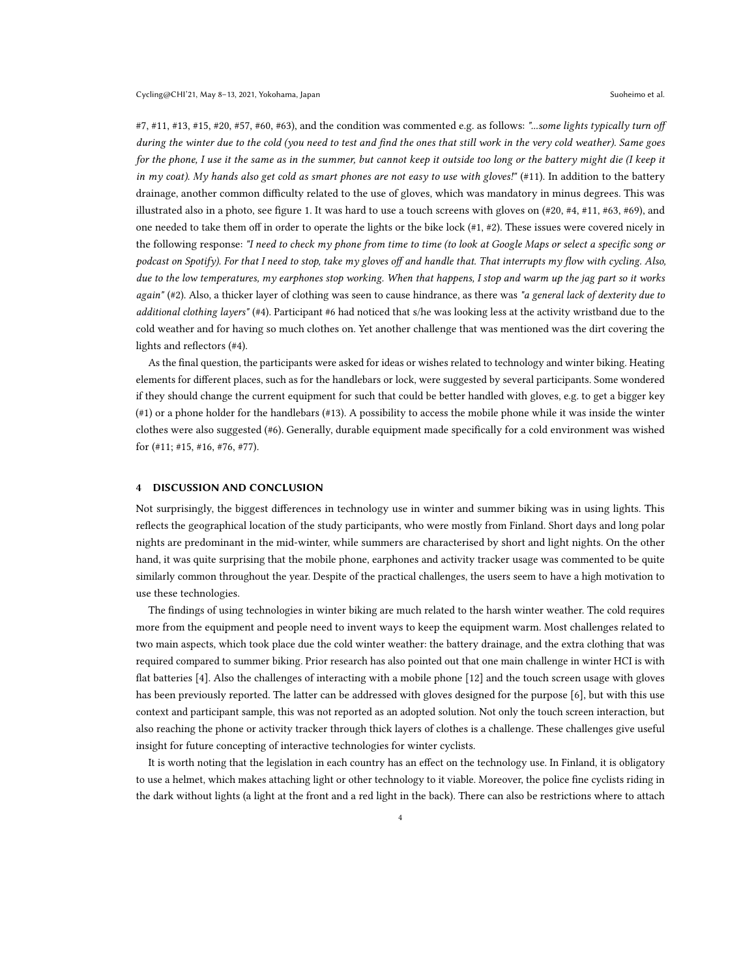#7, #11, #13, #15, #20, #57, #60, #63), and the condition was commented e.g. as follows: "...some lights typically turn off during the winter due to the cold (you need to test and find the ones that still work in the very cold weather). Same goes for the phone, I use it the same as in the summer, but cannot keep it outside too long or the battery might die (I keep it in my coat). My hands also get cold as smart phones are not easy to use with gloves!" (#11). In addition to the battery drainage, another common difficulty related to the use of gloves, which was mandatory in minus degrees. This was illustrated also in a photo, see figure [1.](#page-2-0) It was hard to use a touch screens with gloves on (#20, #4, #11, #63, #69), and one needed to take them off in order to operate the lights or the bike lock  $(\#1, \#2)$ . These issues were covered nicely in the following response: "I need to check my phone from time to time (to look at Google Maps or select a specific song or podcast on Spotify). For that I need to stop, take my gloves off and handle that. That interrupts my flow with cycling. Also, due to the low temperatures, my earphones stop working. When that happens, I stop and warm up the jag part so it works again" (#2). Also, a thicker layer of clothing was seen to cause hindrance, as there was "a general lack of dexterity due to additional clothing layers" (#4). Participant #6 had noticed that s/he was looking less at the activity wristband due to the cold weather and for having so much clothes on. Yet another challenge that was mentioned was the dirt covering the lights and reflectors (#4).

As the final question, the participants were asked for ideas or wishes related to technology and winter biking. Heating elements for different places, such as for the handlebars or lock, were suggested by several participants. Some wondered if they should change the current equipment for such that could be better handled with gloves, e.g. to get a bigger key (#1) or a phone holder for the handlebars (#13). A possibility to access the mobile phone while it was inside the winter clothes were also suggested (#6). Generally, durable equipment made specifically for a cold environment was wished for (#11; #15, #16, #76, #77).

#### 4 DISCUSSION AND CONCLUSION

Not surprisingly, the biggest differences in technology use in winter and summer biking was in using lights. This reflects the geographical location of the study participants, who were mostly from Finland. Short days and long polar nights are predominant in the mid-winter, while summers are characterised by short and light nights. On the other hand, it was quite surprising that the mobile phone, earphones and activity tracker usage was commented to be quite similarly common throughout the year. Despite of the practical challenges, the users seem to have a high motivation to use these technologies.

The findings of using technologies in winter biking are much related to the harsh winter weather. The cold requires more from the equipment and people need to invent ways to keep the equipment warm. Most challenges related to two main aspects, which took place due the cold winter weather: the battery drainage, and the extra clothing that was required compared to summer biking. Prior research has also pointed out that one main challenge in winter HCI is with flat batteries [\[4\]](#page-5-16). Also the challenges of interacting with a mobile phone [\[12\]](#page-5-14) and the touch screen usage with gloves has been previously reported. The latter can be addressed with gloves designed for the purpose [\[6\]](#page-5-17), but with this use context and participant sample, this was not reported as an adopted solution. Not only the touch screen interaction, but also reaching the phone or activity tracker through thick layers of clothes is a challenge. These challenges give useful insight for future concepting of interactive technologies for winter cyclists.

It is worth noting that the legislation in each country has an effect on the technology use. In Finland, it is obligatory to use a helmet, which makes attaching light or other technology to it viable. Moreover, the police fine cyclists riding in the dark without lights (a light at the front and a red light in the back). There can also be restrictions where to attach